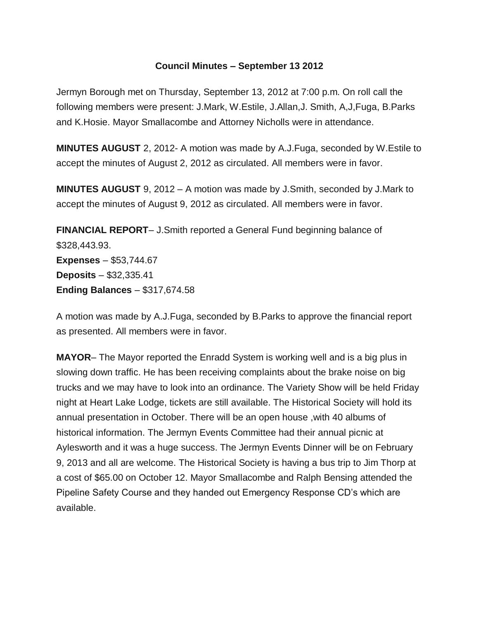## **Council Minutes – September 13 2012**

Jermyn Borough met on Thursday, September 13, 2012 at 7:00 p.m. On roll call the following members were present: J.Mark, W.Estile, J.Allan,J. Smith, A,J,Fuga, B.Parks and K.Hosie. Mayor Smallacombe and Attorney Nicholls were in attendance.

**MINUTES AUGUST** 2, 2012- A motion was made by A.J.Fuga, seconded by W.Estile to accept the minutes of August 2, 2012 as circulated. All members were in favor.

**MINUTES AUGUST** 9, 2012 – A motion was made by J.Smith, seconded by J.Mark to accept the minutes of August 9, 2012 as circulated. All members were in favor.

**FINANCIAL REPORT**– J.Smith reported a General Fund beginning balance of \$328,443.93. **Expenses** – \$53,744.67 **Deposits** – \$32,335.41 **Ending Balances** – \$317,674.58

A motion was made by A.J.Fuga, seconded by B.Parks to approve the financial report as presented. All members were in favor.

**MAYOR**– The Mayor reported the Enradd System is working well and is a big plus in slowing down traffic. He has been receiving complaints about the brake noise on big trucks and we may have to look into an ordinance. The Variety Show will be held Friday night at Heart Lake Lodge, tickets are still available. The Historical Society will hold its annual presentation in October. There will be an open house ,with 40 albums of historical information. The Jermyn Events Committee had their annual picnic at Aylesworth and it was a huge success. The Jermyn Events Dinner will be on February 9, 2013 and all are welcome. The Historical Society is having a bus trip to Jim Thorp at a cost of \$65.00 on October 12. Mayor Smallacombe and Ralph Bensing attended the Pipeline Safety Course and they handed out Emergency Response CD's which are available.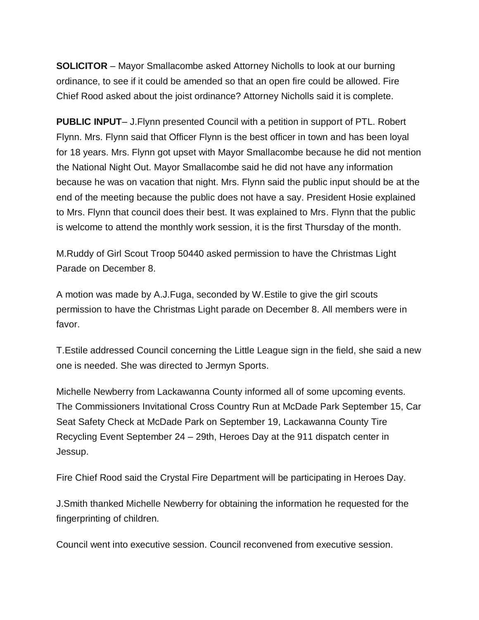**SOLICITOR** – Mayor Smallacombe asked Attorney Nicholls to look at our burning ordinance, to see if it could be amended so that an open fire could be allowed. Fire Chief Rood asked about the joist ordinance? Attorney Nicholls said it is complete.

**PUBLIC INPUT**– J.Flynn presented Council with a petition in support of PTL. Robert Flynn. Mrs. Flynn said that Officer Flynn is the best officer in town and has been loyal for 18 years. Mrs. Flynn got upset with Mayor Smallacombe because he did not mention the National Night Out. Mayor Smallacombe said he did not have any information because he was on vacation that night. Mrs. Flynn said the public input should be at the end of the meeting because the public does not have a say. President Hosie explained to Mrs. Flynn that council does their best. It was explained to Mrs. Flynn that the public is welcome to attend the monthly work session, it is the first Thursday of the month.

M.Ruddy of Girl Scout Troop 50440 asked permission to have the Christmas Light Parade on December 8.

A motion was made by A.J.Fuga, seconded by W.Estile to give the girl scouts permission to have the Christmas Light parade on December 8. All members were in favor.

T.Estile addressed Council concerning the Little League sign in the field, she said a new one is needed. She was directed to Jermyn Sports.

Michelle Newberry from Lackawanna County informed all of some upcoming events. The Commissioners Invitational Cross Country Run at McDade Park September 15, Car Seat Safety Check at McDade Park on September 19, Lackawanna County Tire Recycling Event September 24 – 29th, Heroes Day at the 911 dispatch center in Jessup.

Fire Chief Rood said the Crystal Fire Department will be participating in Heroes Day.

J.Smith thanked Michelle Newberry for obtaining the information he requested for the fingerprinting of children.

Council went into executive session. Council reconvened from executive session.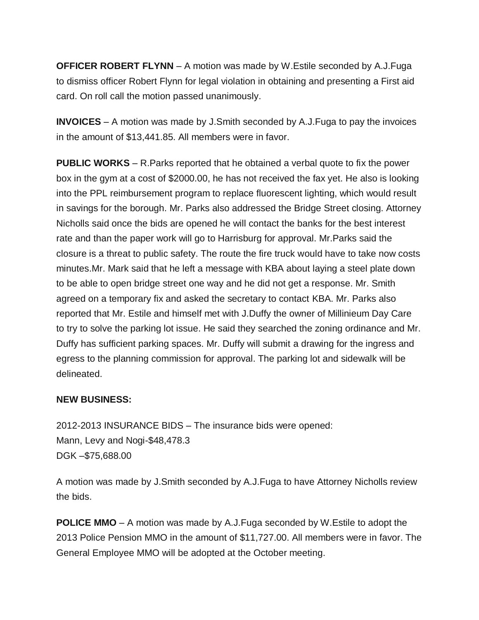**OFFICER ROBERT FLYNN** – A motion was made by W.Estile seconded by A.J.Fuga to dismiss officer Robert Flynn for legal violation in obtaining and presenting a First aid card. On roll call the motion passed unanimously.

**INVOICES** – A motion was made by J.Smith seconded by A.J.Fuga to pay the invoices in the amount of \$13,441.85. All members were in favor.

**PUBLIC WORKS** – R.Parks reported that he obtained a verbal quote to fix the power box in the gym at a cost of \$2000.00, he has not received the fax yet. He also is looking into the PPL reimbursement program to replace fluorescent lighting, which would result in savings for the borough. Mr. Parks also addressed the Bridge Street closing. Attorney Nicholls said once the bids are opened he will contact the banks for the best interest rate and than the paper work will go to Harrisburg for approval. Mr.Parks said the closure is a threat to public safety. The route the fire truck would have to take now costs minutes.Mr. Mark said that he left a message with KBA about laying a steel plate down to be able to open bridge street one way and he did not get a response. Mr. Smith agreed on a temporary fix and asked the secretary to contact KBA. Mr. Parks also reported that Mr. Estile and himself met with J.Duffy the owner of Millinieum Day Care to try to solve the parking lot issue. He said they searched the zoning ordinance and Mr. Duffy has sufficient parking spaces. Mr. Duffy will submit a drawing for the ingress and egress to the planning commission for approval. The parking lot and sidewalk will be delineated.

## **NEW BUSINESS:**

2012-2013 INSURANCE BIDS – The insurance bids were opened: Mann, Levy and Nogi-\$48,478.3 DGK –\$75,688.00

A motion was made by J.Smith seconded by A.J.Fuga to have Attorney Nicholls review the bids.

**POLICE MMO** – A motion was made by A.J.Fuga seconded by W.Estile to adopt the 2013 Police Pension MMO in the amount of \$11,727.00. All members were in favor. The General Employee MMO will be adopted at the October meeting.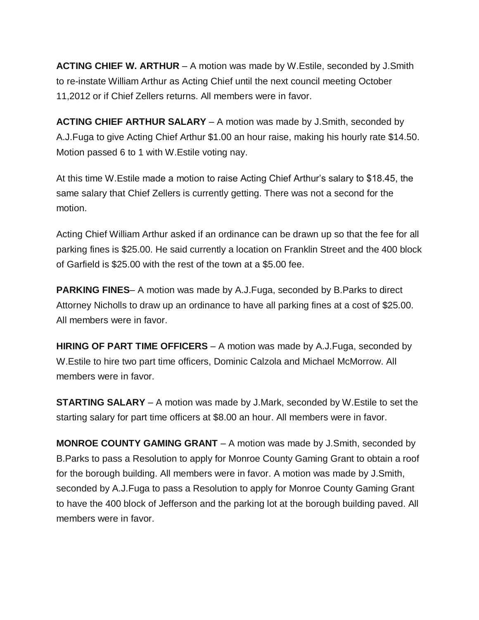**ACTING CHIEF W. ARTHUR** – A motion was made by W.Estile, seconded by J.Smith to re-instate William Arthur as Acting Chief until the next council meeting October 11,2012 or if Chief Zellers returns. All members were in favor.

**ACTING CHIEF ARTHUR SALARY** – A motion was made by J.Smith, seconded by A.J.Fuga to give Acting Chief Arthur \$1.00 an hour raise, making his hourly rate \$14.50. Motion passed 6 to 1 with W.Estile voting nay.

At this time W.Estile made a motion to raise Acting Chief Arthur's salary to \$18.45, the same salary that Chief Zellers is currently getting. There was not a second for the motion.

Acting Chief William Arthur asked if an ordinance can be drawn up so that the fee for all parking fines is \$25.00. He said currently a location on Franklin Street and the 400 block of Garfield is \$25.00 with the rest of the town at a \$5.00 fee.

**PARKING FINES**– A motion was made by A.J.Fuga, seconded by B.Parks to direct Attorney Nicholls to draw up an ordinance to have all parking fines at a cost of \$25.00. All members were in favor.

**HIRING OF PART TIME OFFICERS** – A motion was made by A.J.Fuga, seconded by W.Estile to hire two part time officers, Dominic Calzola and Michael McMorrow. All members were in favor.

**STARTING SALARY** – A motion was made by J.Mark, seconded by W.Estile to set the starting salary for part time officers at \$8.00 an hour. All members were in favor.

**MONROE COUNTY GAMING GRANT** – A motion was made by J.Smith, seconded by B.Parks to pass a Resolution to apply for Monroe County Gaming Grant to obtain a roof for the borough building. All members were in favor. A motion was made by J.Smith, seconded by A.J.Fuga to pass a Resolution to apply for Monroe County Gaming Grant to have the 400 block of Jefferson and the parking lot at the borough building paved. All members were in favor.